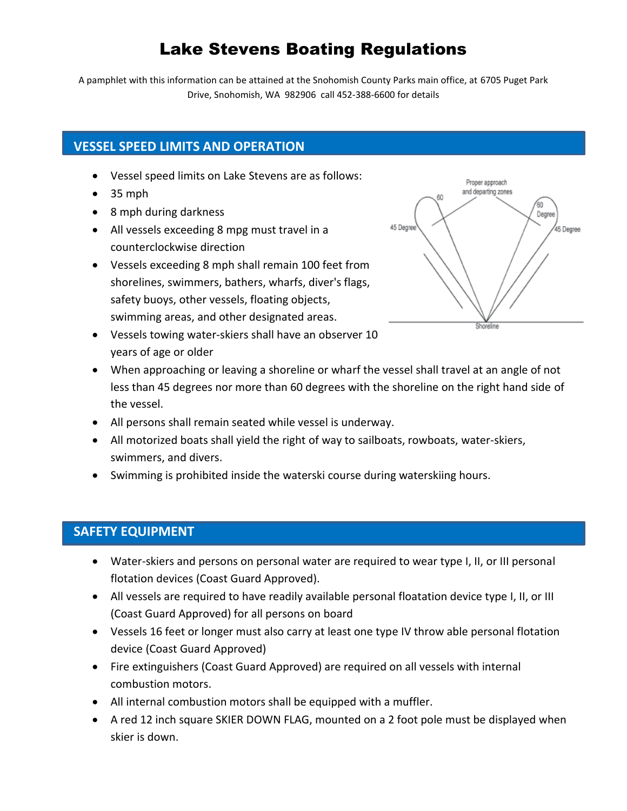# Lake Stevens Boating Regulations

A pamphlet with this information can be attained at the Snohomish County Parks main office, at 6705 Puget Park Drive, Snohomish, WA 982906 call 452-388-6600 for details

# **VESSEL SPEED LIMITS AND OPERATION**

- Vessel speed limits on Lake Stevens are as follows:
- $\bullet$  35 mph
- 8 mph during darkness
- All vessels exceeding 8 mpg must travel in a counterclockwise direction
- Vessels exceeding 8 mph shall remain 100 feet from shorelines, swimmers, bathers, wharfs, diver's flags, safety buoys, other vessels, floating objects, swimming areas, and other designated areas.
- Vessels towing water-skiers shall have an observer 10 years of age or older
- When approaching or leaving a shoreline or wharf the vessel shall travel at an angle of not less than 45 degrees nor more than 60 degrees with the shoreline on the right hand side of the vessel.
- All persons shall remain seated while vessel is underway.
- All motorized boats shall yield the right of way to sailboats, rowboats, water-skiers, swimmers, and divers.
- Swimming is prohibited inside the waterski course during waterskiing hours.

## **SAFETY EQUIPMENT**

- Water-skiers and persons on personal water are required to wear type I, II, or III personal flotation devices (Coast Guard Approved).
- All vessels are required to have readily available personal floatation device type I, II, or III (Coast Guard Approved) for all persons on board
- Vessels 16 feet or longer must also carry at least one type IV throw able personal flotation device (Coast Guard Approved)
- Fire extinguishers (Coast Guard Approved) are required on all vessels with internal combustion motors.
- All internal combustion motors shall be equipped with a muffler.
- A red 12 inch square SKIER DOWN FLAG, mounted on a 2 foot pole must be displayed when skier is down.